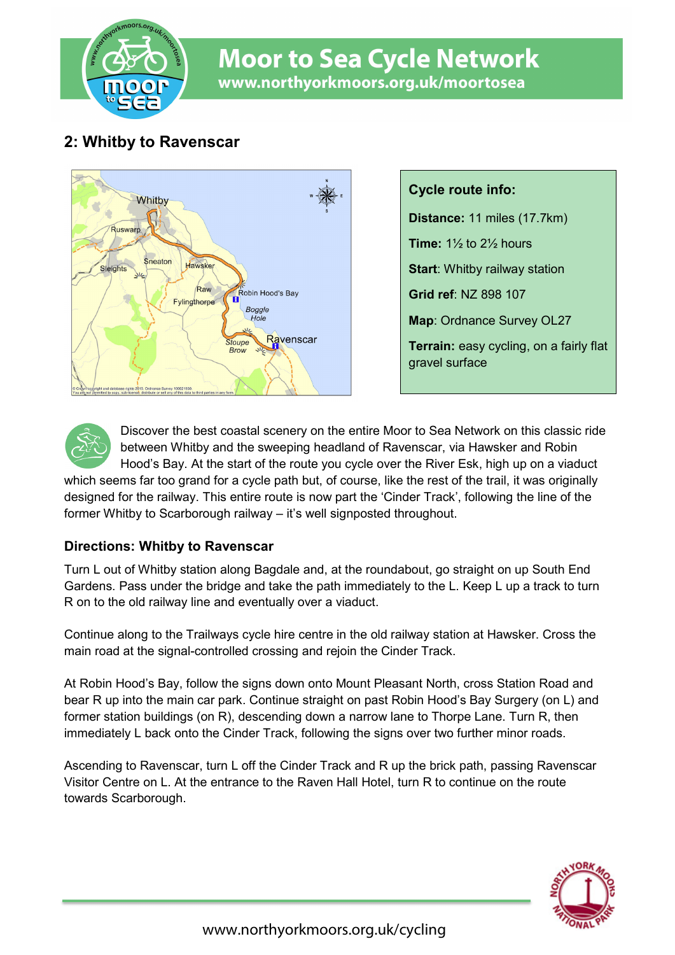

# **Moor to Sea Cycle Network** www.northyorkmoors.org.uk/moortosea

## **2: Whitby to Ravenscar**



**Cycle route info: Distance:** 11 miles (17.7km) **Time:** 1½ to 2½ hours **Start**: Whitby railway station **Grid ref**: NZ 898 107 **Map**: Ordnance Survey OL27 **Terrain:** easy cycling, on a fairly flat gravel surface



Discover the best coastal scenery on the entire Moor to Sea Network on this classic ride between Whitby and the sweeping headland of Ravenscar, via Hawsker and Robin Hood's Bay. At the start of the route you cycle over the River Esk, high up on a viaduct

which seems far too grand for a cycle path but, of course, like the rest of the trail, it was originally designed for the railway. This entire route is now part the 'Cinder Track', following the line of the former Whitby to Scarborough railway – it's well signposted throughout.

### **Directions: Whitby to Ravenscar**

Turn L out of Whitby station along Bagdale and, at the roundabout, go straight on up South End Gardens. Pass under the bridge and take the path immediately to the L. Keep L up a track to turn R on to the old railway line and eventually over a viaduct.

Continue along to the Trailways cycle hire centre in the old railway station at Hawsker. Cross the main road at the signal-controlled crossing and rejoin the Cinder Track.

At Robin Hood's Bay, follow the signs down onto Mount Pleasant North, cross Station Road and bear R up into the main car park. Continue straight on past Robin Hood's Bay Surgery (on L) and former station buildings (on R), descending down a narrow lane to Thorpe Lane. Turn R, then immediately L back onto the Cinder Track, following the signs over two further minor roads.

Ascending to Ravenscar, turn L off the Cinder Track and R up the brick path, passing Ravenscar Visitor Centre on L. At the entrance to the Raven Hall Hotel, turn R to continue on the route towards Scarborough.